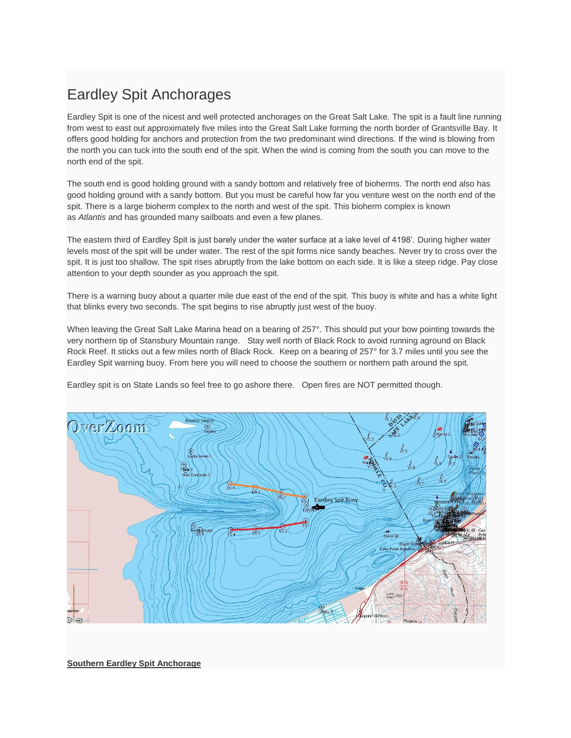## Eardley Spit Anchorages

Eardley Spit is one of the nicest and well protected anchorages on the Great Salt Lake. The spit is a fault line running from west to east out approximately five miles into the Great Salt Lake forming the north border of Grantsville Bay. It offers good holding for anchors and protection from the two predominant wind directions. If the wind is blowing from the north you can tuck into the south end of the spit. When the wind is coming from the south you can move to the north end of the spit.

The south end is good holding ground with a sandy bottom and relatively free of bioherms. The north end also has good holding ground with a sandy bottom. But you must be careful how far you venture west on the north end of the spit. There is a large bioherm complex to the north and west of the spit. This bioherm complex is known as *Atlantis* and has grounded many sailboats and even a few planes.

The eastern third of Eardley Spit is just barely under the water surface at a lake level of 4198'. During higher water levels most of the spit will be under water. The rest of the spit forms nice sandy beaches. Never try to cross over the spit. It is just too shallow. The spit rises abruptly from the lake bottom on each side. It is like a steep ridge. Pay close attention to your depth sounder as you approach the spit.

There is a warning buoy about a quarter mile due east of the end of the spit. This buoy is white and has a white light that blinks every two seconds. The spit begins to rise abruptly just west of the buoy.

When leaving the Great Salt Lake Marina head on a bearing of 257°. This should put your bow pointing towards the very northern tip of Stansbury Mountain range. Stay well north of Black Rock to avoid running aground on Black Rock Reef. It sticks out a few miles north of Black Rock. Keep on a bearing of 257° for 3.7 miles until you see the Eardley Spit warning buoy. From here you will need to choose the southern or northern path around the spit.

Eardley spit is on State Lands so feel free to go ashore there. Open fires are NOT permitted though.